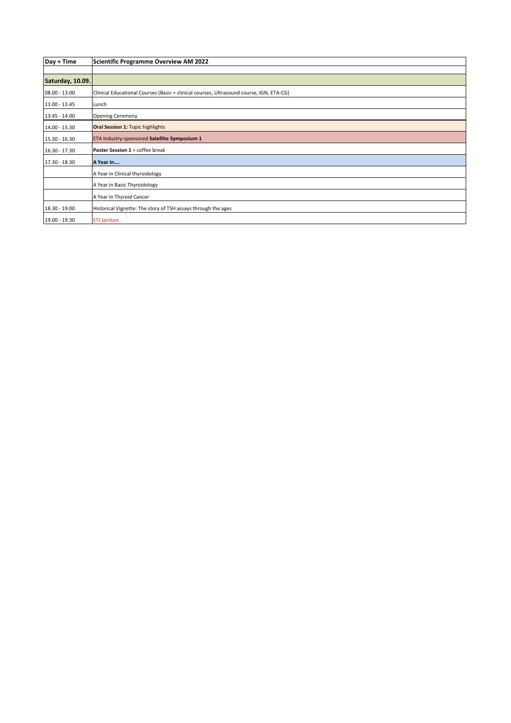| Day + Time       | Scientific Programme Overview AM 2022                                                   |
|------------------|-----------------------------------------------------------------------------------------|
|                  |                                                                                         |
| Saturday, 10.09. |                                                                                         |
| 08.00 - 13.00    | Clinical Educational Courses (Basic + clinical courses, Ultrasound course, IGN, ETA-CG) |
| 13.00 - 13.45    | Lunch                                                                                   |
| 13.45 - 14.00    | <b>Opening Ceremony</b>                                                                 |
| 14.00 - 15.30    | <b>Oral Session 1: Topic highlights</b>                                                 |
| 15.30 - 16.30    | ETA Industry-sponsored Satellite Symposium 1                                            |
| $16.30 - 17.30$  | Poster Session 1 + coffee break                                                         |
| 17.30 - 18.30    | A Year in                                                                               |
|                  | A Year in Clinical thyroidology                                                         |
|                  | A Year in Basic Thyroidology                                                            |
|                  | A Year in Thyroid Cancer                                                                |
| 18.30 - 19.00    | Historical Vignette: The story of TSH assays through the ages                           |
| 19.00 - 19.30    | <b>ETJ</b> Lecture                                                                      |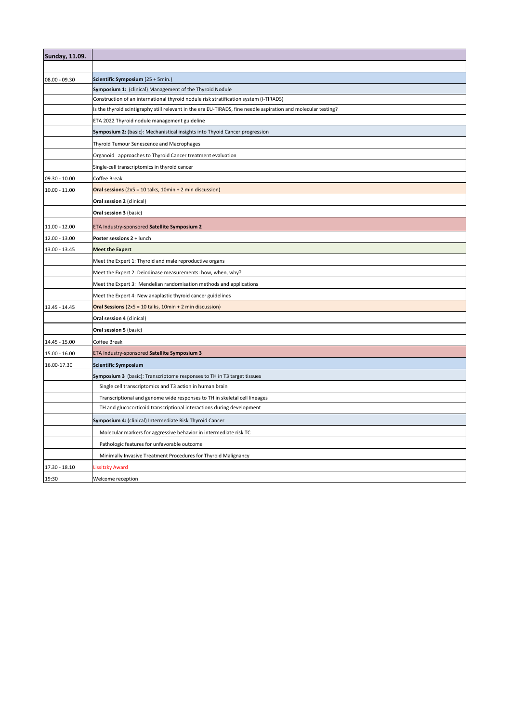| <b>Sunday, 11.09.</b> |                                                                                                                |
|-----------------------|----------------------------------------------------------------------------------------------------------------|
|                       |                                                                                                                |
| 08.00 - 09.30         | Scientific Symposium (25 + 5min.)                                                                              |
|                       | Symposium 1: (clinical) Management of the Thyroid Nodule                                                       |
|                       | Construction of an international thyroid nodule risk stratification system (I-TIRADS)                          |
|                       | Is the thyroid scintigraphy still relevant in the era EU-TIRADS, fine needle aspiration and molecular testing? |
|                       | ETA 2022 Thyroid nodule management guideline                                                                   |
|                       | Symposium 2: (basic): Mechanistical insights into Thyoid Cancer progression                                    |
|                       | Thyroid Tumour Senescence and Macrophages                                                                      |
|                       | Organoid approaches to Thyroid Cancer treatment evaluation                                                     |
|                       | Single-cell transcriptomics in thyroid cancer                                                                  |
| 09.30 - 10.00         | Coffee Break                                                                                                   |
| $10.00 - 11.00$       | Oral sessions $(2x5 = 10$ talks, $10min + 2min$ discussion)                                                    |
|                       | Oral session 2 (clinical)                                                                                      |
|                       | Oral session 3 (basic)                                                                                         |
| 11.00 - 12.00         | ETA Industry-sponsored Satellite Symposium 2                                                                   |
| 12.00 - 13.00         | Poster sessions 2 + lunch                                                                                      |
| 13.00 - 13.45         | <b>Meet the Expert</b>                                                                                         |
|                       | Meet the Expert 1: Thyroid and male reproductive organs                                                        |
|                       | Meet the Expert 2: Deiodinase measurements: how, when, why?                                                    |
|                       | Meet the Expert 3: Mendelian randomisation methods and applications                                            |
|                       | Meet the Expert 4: New anaplastic thyroid cancer guidelines                                                    |
| 13.45 - 14.45         | Oral Sessions ( $2x5 = 10$ talks, $10min + 2min$ discussion)                                                   |
|                       | Oral session 4 (clinical)                                                                                      |
|                       | Oral session 5 (basic)                                                                                         |
| 14.45 - 15.00         | Coffee Break                                                                                                   |
| 15.00 - 16.00         | ETA Industry-sponsored Satellite Symposium 3                                                                   |
| 16.00-17.30           | <b>Scientific Symposium</b>                                                                                    |
|                       | Symposium 3 (basic): Transcriptome responses to TH in T3 target tissues                                        |
|                       | Single cell transcriptomics and T3 action in human brain                                                       |
|                       | Transcriptional and genome wide responses to TH in skeletal cell lineages                                      |
|                       | TH and glucocorticoid transcriptional interactions during development                                          |
|                       | Symposium 4: (clinical) Intermediate Risk Thyroid Cancer                                                       |
|                       | Molecular markers for aggressive behavior in intermediate risk TC                                              |
|                       | Pathologic features for unfavorable outcome                                                                    |
|                       | Minimally Invasive Treatment Procedures for Thyroid Malignancy                                                 |
| 17.30 - 18.10         | Lissitzky Award                                                                                                |
| 19:30                 | Welcome reception                                                                                              |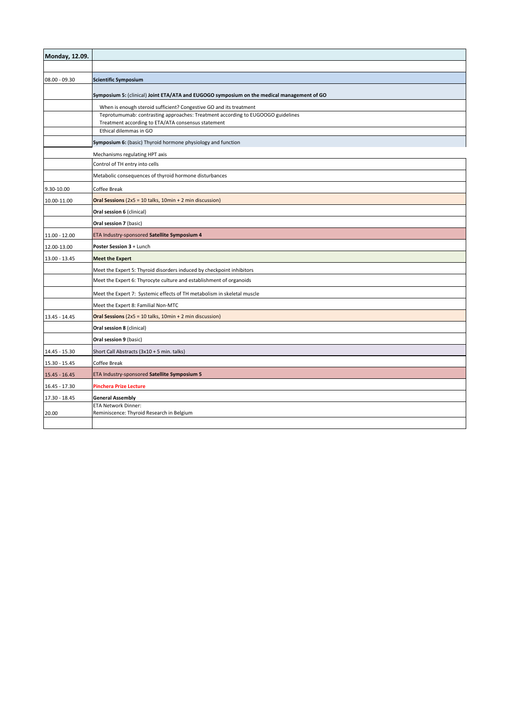| Monday, 12.09.  |                                                                                                                                       |
|-----------------|---------------------------------------------------------------------------------------------------------------------------------------|
|                 |                                                                                                                                       |
| 08.00 - 09.30   | <b>Scientific Symposium</b>                                                                                                           |
|                 | Symposium 5: (clinical) Joint ETA/ATA and EUGOGO symposium on the medical management of GO                                            |
|                 | When is enough steroid sufficient? Congestive GO and its treatment                                                                    |
|                 | Teprotumumab: contrasting approaches: Treatment according to EUGOOGO guidelines<br>Treatment according to ETA/ATA consensus statement |
|                 | Ethical dilemmas in GO                                                                                                                |
|                 | Symposium 6: (basic) Thyroid hormone physiology and function                                                                          |
|                 | Mechanisms regulating HPT axis                                                                                                        |
|                 | Control of TH entry into cells                                                                                                        |
|                 | Metabolic consequences of thyroid hormone disturbances                                                                                |
| 9.30-10.00      | Coffee Break                                                                                                                          |
| 10.00-11.00     | Oral Sessions ( $2x5 = 10$ talks, $10min + 2min$ discussion)                                                                          |
|                 | Oral session 6 (clinical)                                                                                                             |
|                 | Oral session 7 (basic)                                                                                                                |
| 11.00 - 12.00   | ETA Industry-sponsored Satellite Symposium 4                                                                                          |
| 12.00-13.00     | Poster Session 3 + Lunch                                                                                                              |
| 13.00 - 13.45   | <b>Meet the Expert</b>                                                                                                                |
|                 | Meet the Expert 5: Thyroid disorders induced by checkpoint inhibitors                                                                 |
|                 | Meet the Expert 6: Thyrocyte culture and establishment of organoids                                                                   |
|                 | Meet the Expert 7: Systemic effects of TH metabolism in skeletal muscle                                                               |
|                 | Meet the Expert 8: Familial Non-MTC                                                                                                   |
| 13.45 - 14.45   | Oral Sessions ( $2x5 = 10$ talks, $10min + 2 min$ discussion)                                                                         |
|                 | Oral session 8 (clinical)                                                                                                             |
|                 | Oral session 9 (basic)                                                                                                                |
| 14.45 - 15.30   | Short Call Abstracts (3x10 + 5 min. talks)                                                                                            |
| 15.30 - 15.45   | Coffee Break                                                                                                                          |
| 15.45 - 16.45   | ETA Industry-sponsored Satellite Symposium 5                                                                                          |
| $16.45 - 17.30$ | <b>Pinchera Prize Lecture</b>                                                                                                         |
| 17.30 - 18.45   | <b>General Assembly</b>                                                                                                               |
| 20.00           | <b>ETA Network Dinner:</b><br>Reminiscence: Thyroid Research in Belgium                                                               |
|                 |                                                                                                                                       |